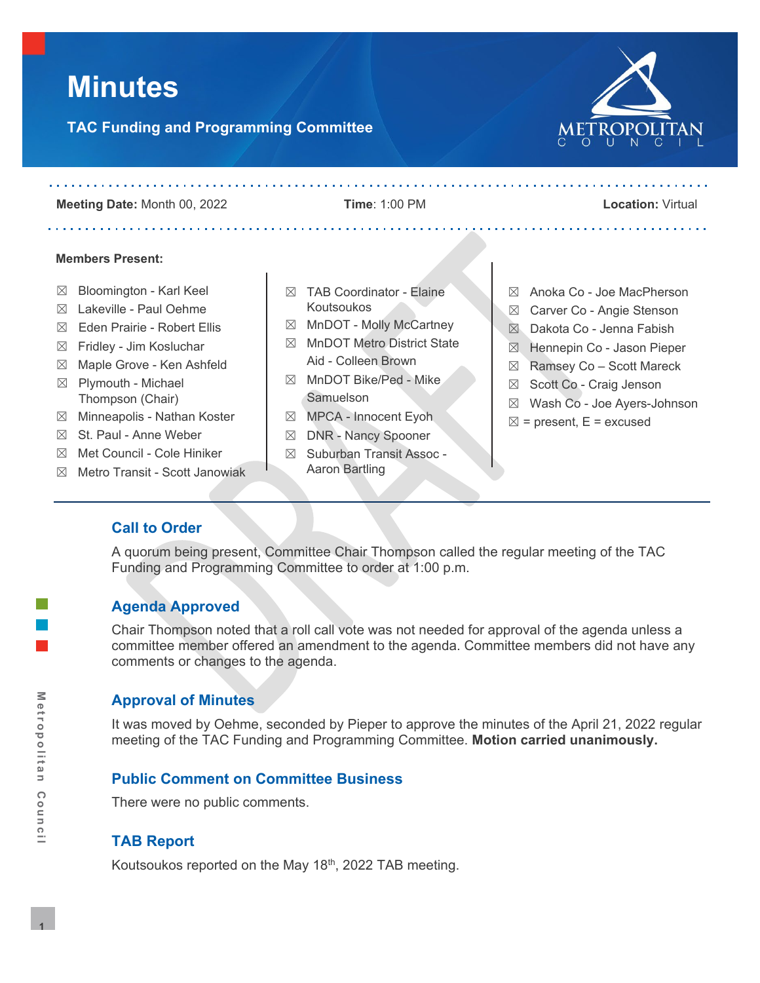# **Minutes**

**TAC Funding and Programming Committee**



**Meeting Date:** Month 00, 2022 **Time**: 1:00 PM **Location:** Virtual

and a straightful and a straightful and a

#### **Members Present:**

- $\boxtimes$  Bloomington Karl Keel
- $\boxtimes$  Lakeville Paul Oehme
- ☒ Eden Prairie Robert Ellis
- $\boxtimes$  Fridley Jim Kosluchar
- ☒ Maple Grove Ken Ashfeld  $\boxtimes$  Plymouth - Michael
- Thompson (Chair) ☒ Minneapolis - Nathan Koster
- ☒ St. Paul Anne Weber
- ☒ Met Council Cole Hiniker
- ☒ Metro Transit Scott Janowiak
- $\boxtimes$  TAB Coordinator Elaine Koutsoukos
- ☒ MnDOT Molly McCartney
- ☒ MnDOT Metro District State Aid - Colleen Brown
- ☒ MnDOT Bike/Ped Mike **Samuelson**
- ☒ MPCA Innocent Eyoh
- ☒ DNR Nancy Spooner
- ☒ Suburban Transit Assoc Aaron Bartling
- ☒ Anoka Co Joe MacPherson
- ☒ Carver Co Angie Stenson
- ☒ Dakota Co Jenna Fabish
- ☒ Hennepin Co Jason Pieper
- ☒ Ramsey Co Scott Mareck
- ☒ Scott Co Craig Jenson
- ☒ Wash Co Joe Ayers-Johnson
- $\boxtimes$  = present, E = excused

# **Call to Order**

A quorum being present, Committee Chair Thompson called the regular meeting of the TAC Funding and Programming Committee to order at 1:00 p.m.

# **Agenda Approved**

Chair Thompson noted that a roll call vote was not needed for approval of the agenda unless a committee member offered an amendment to the agenda. Committee members did not have any comments or changes to the agenda.

# **Approval of Minutes**

It was moved by Oehme, seconded by Pieper to approve the minutes of the April 21, 2022 regular meeting of the TAC Funding and Programming Committee. **Motion carried unanimously.**

# **Public Comment on Committee Business**

There were no public comments.

# **TAB Report**

Koutsoukos reported on the May 18th, 2022 TAB meeting.

. . . . . . . . . . . . .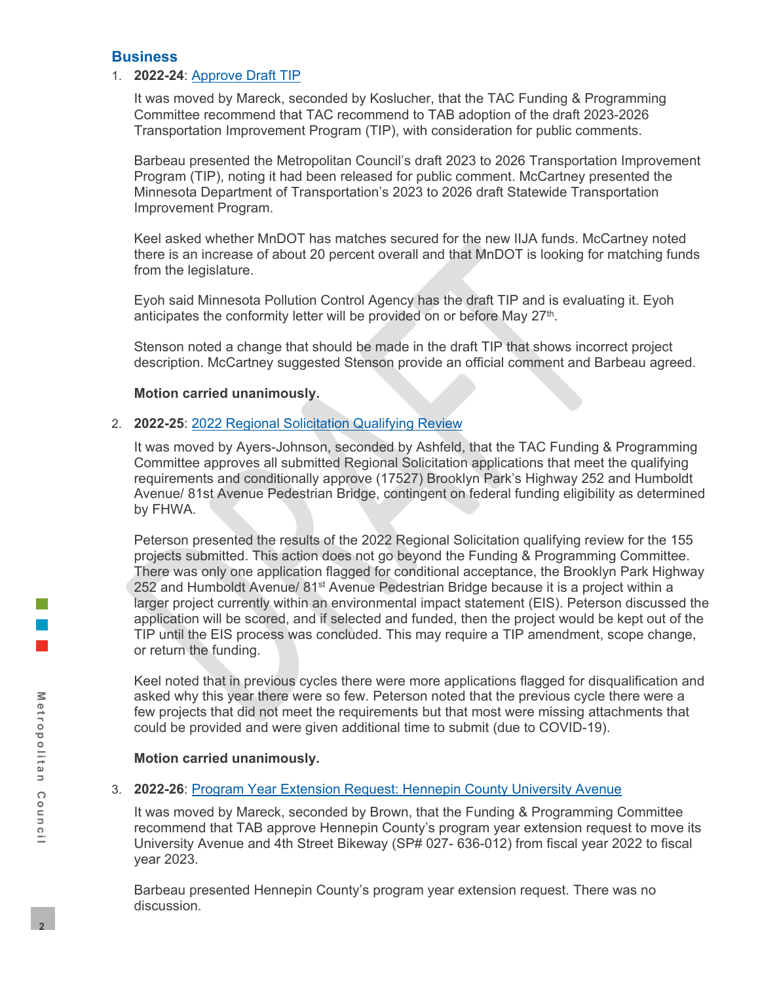## **Business**

## 1. **2022-24**: [Approve Draft TIP](https://metrocouncil.org/Council-Meetings/Committees/Transportation-Advisory-Board-TAB/TAB-Technical-Advisory-Committee/TAC-Funding-and-Programming-Committee/2022/TAC-Funding-Programming-5-19-22/2022-24_AT_TIP.aspx)

It was moved by Mareck, seconded by Koslucher, that the TAC Funding & Programming Committee recommend that TAC recommend to TAB adoption of the draft 2023-2026 Transportation Improvement Program (TIP), with consideration for public comments.

Barbeau presented the Metropolitan Council's draft 2023 to 2026 Transportation Improvement Program (TIP), noting it had been released for public comment. McCartney presented the Minnesota Department of Transportation's 2023 to 2026 draft Statewide Transportation Improvement Program.

Keel asked whether MnDOT has matches secured for the new IIJA funds. McCartney noted there is an increase of about 20 percent overall and that MnDOT is looking for matching funds from the legislature.

Eyoh said Minnesota Pollution Control Agency has the draft TIP and is evaluating it. Eyoh anticipates the conformity letter will be provided on or before May 27<sup>th</sup>.

Stenson noted a change that should be made in the draft TIP that shows incorrect project description. McCartney suggested Stenson provide an official comment and Barbeau agreed.

#### **Motion carried unanimously.**

#### 2. **2022-25**: 2022 Regional [Solicitation Qualifying Review](https://metrocouncil.org/Council-Meetings/Committees/Transportation-Advisory-Board-TAB/TAB-Technical-Advisory-Committee/TAC-Funding-and-Programming-Committee/2022/TAC-Funding-Programming-5-19-22/2022-25_AT_Qualifying-Review.aspx)

It was moved by Ayers-Johnson, seconded by Ashfeld, that the TAC Funding & Programming Committee approves all submitted Regional Solicitation applications that meet the qualifying requirements and conditionally approve (17527) Brooklyn Park's Highway 252 and Humboldt Avenue/ 81st Avenue Pedestrian Bridge, contingent on federal funding eligibility as determined by FHWA.

Peterson presented the results of the 2022 Regional Solicitation qualifying review for the 155 projects submitted. This action does not go beyond the Funding & Programming Committee. There was only one application flagged for conditional acceptance, the Brooklyn Park Highway 252 and Humboldt Avenue/ 81<sup>st</sup> Avenue Pedestrian Bridge because it is a project within a larger project currently within an environmental impact statement (EIS). Peterson discussed the application will be scored, and if selected and funded, then the project would be kept out of the TIP until the EIS process was concluded. This may require a TIP amendment, scope change, or return the funding.

Keel noted that in previous cycles there were more applications flagged for disqualification and asked why this year there were so few. Peterson noted that the previous cycle there were a few projects that did not meet the requirements but that most were missing attachments that could be provided and were given additional time to submit (due to COVID-19).

## **Motion carried unanimously.**

#### 3. **2022-26**: [Program Year Extension Request: Hennepin County University Avenue](https://metrocouncil.org/Council-Meetings/Committees/Transportation-Advisory-Board-TAB/TAB-Technical-Advisory-Committee/TAC-Funding-and-Programming-Committee/2022/TAC-Funding-Programming-5-19-22/2020-26_AT_PY-Ext.aspx)

It was moved by Mareck, seconded by Brown, that the Funding & Programming Committee recommend that TAB approve Hennepin County's program year extension request to move its University Avenue and 4th Street Bikeway (SP# 027- 636-012) from fiscal year 2022 to fiscal year 2023.

Barbeau presented Hennepin County's program year extension request. There was no discussion.